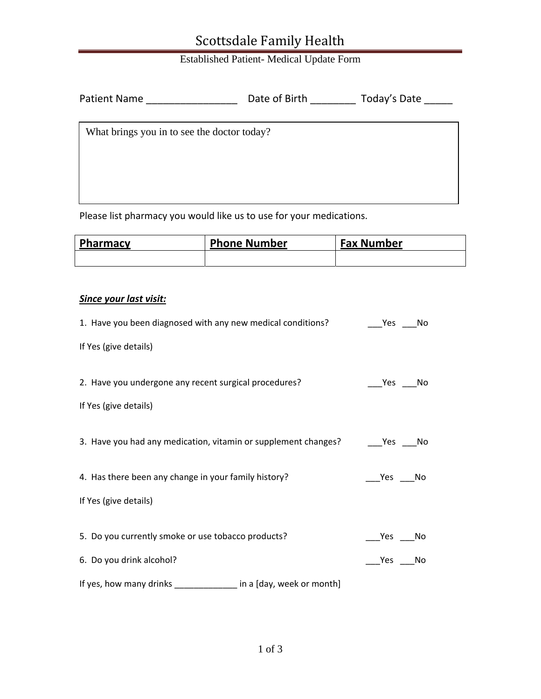### Scottsdale Family Health

#### Established Patient- Medical Update Form

| <b>Patient Name</b>                         | Date of Birth | Today's Date |
|---------------------------------------------|---------------|--------------|
| What brings you in to see the doctor today? |               |              |

Please list pharmacy you would like us to use for your medications.

| Pharmacy | <b>Phone Number</b> | <b>Fax Number</b> |
|----------|---------------------|-------------------|
|          |                     |                   |

#### *Since your last visit:*

| 1. Have you been diagnosed with any new medical conditions?    | Yes<br>No.       |
|----------------------------------------------------------------|------------------|
| If Yes (give details)                                          |                  |
| 2. Have you undergone any recent surgical procedures?          | Yes<br>No        |
| If Yes (give details)                                          |                  |
| 3. Have you had any medication, vitamin or supplement changes? | Yes<br>No        |
| 4. Has there been any change in your family history?           | Yes<br>No        |
| If Yes (give details)                                          |                  |
| 5. Do you currently smoke or use tobacco products?             | <b>Yes</b><br>No |
| 6. Do you drink alcohol?                                       | Yes<br>No        |
| If yes, how many drinks<br>in a [day, week or month]           |                  |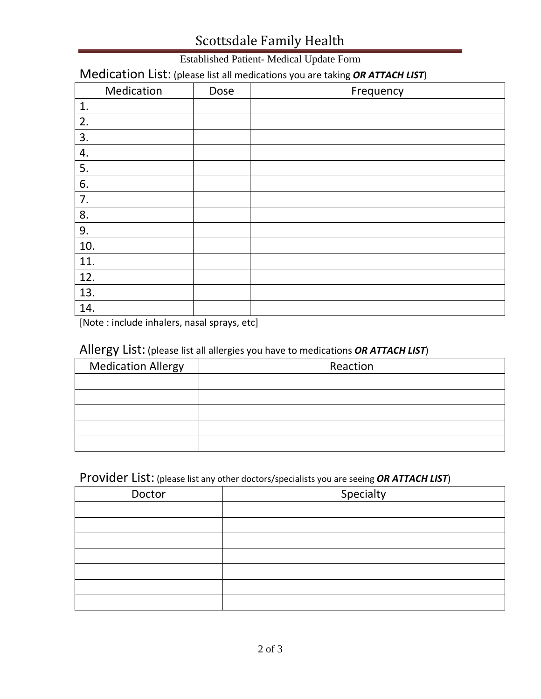# Scottsdale Family Health

#### Established Patient- Medical Update Form

### Medication List: (please list all medications you are taking *OR ATTACH LIST*)

| Medication | Dose | Frequency |
|------------|------|-----------|
| 1.         |      |           |
| 2.         |      |           |
| 3.         |      |           |
| 4.         |      |           |
| 5.         |      |           |
| 6.         |      |           |
| 7.         |      |           |
| 8.         |      |           |
| 9.         |      |           |
| 10.        |      |           |
| 11.        |      |           |
| 12.        |      |           |
| 13.        |      |           |
| 14.        |      |           |

[Note : include inhalers, nasal sprays, etc]

#### Allergy List: (please list all allergies you have to medications *OR ATTACH LIST*)

| <b>Medication Allergy</b> | Reaction |
|---------------------------|----------|
|                           |          |
|                           |          |
|                           |          |
|                           |          |
|                           |          |

### Provider List: (please list any other doctors/specialists you are seeing *OR ATTACH LIST*)

| Doctor | Specialty |  |
|--------|-----------|--|
|        |           |  |
|        |           |  |
|        |           |  |
|        |           |  |
|        |           |  |
|        |           |  |
|        |           |  |